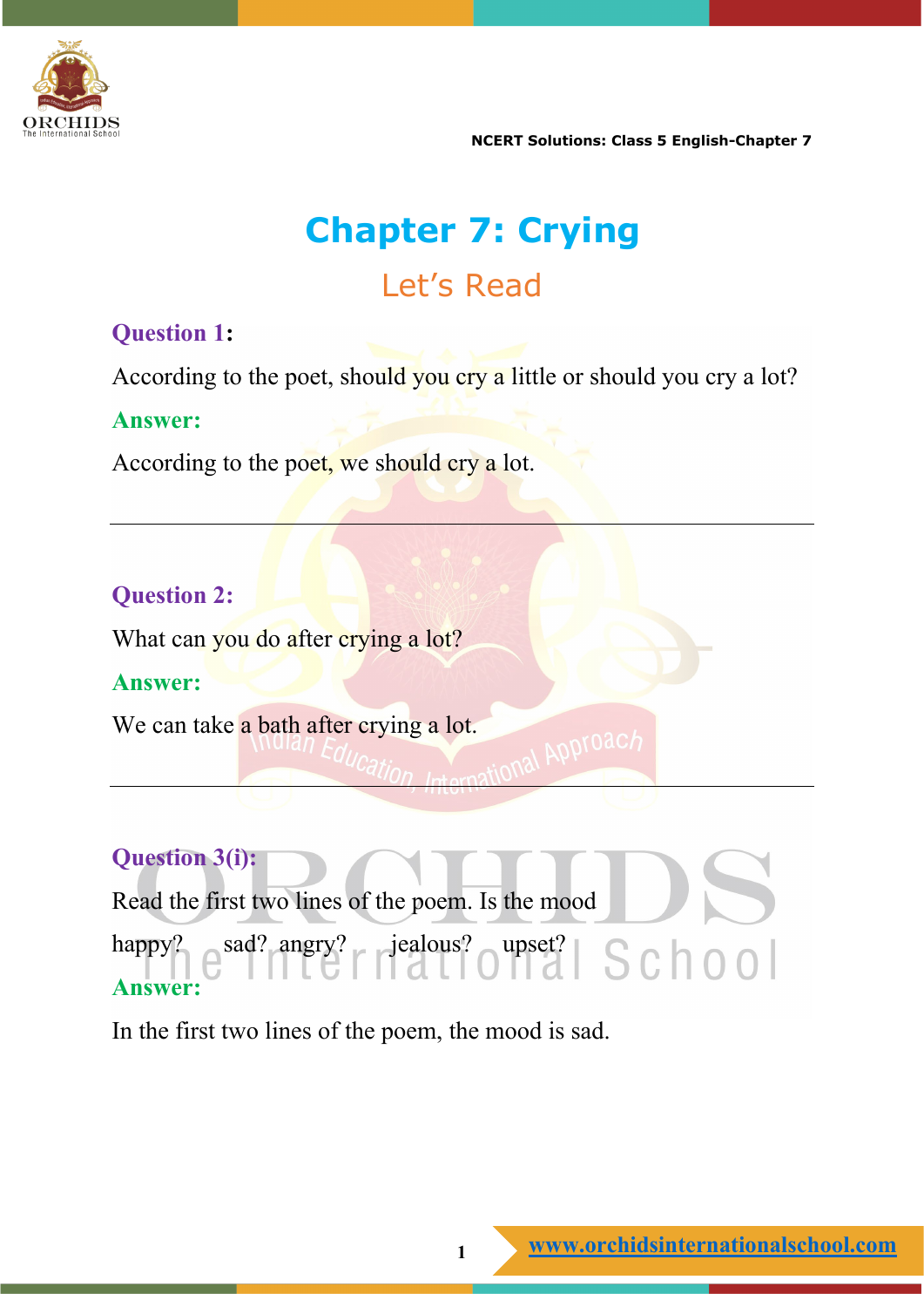

# **Chapter 7: Crying** Let's Read

#### **Question 1:**

According to the poet, should you cry a little or should you cry a lot?

#### **Answer:**

According to the poet, we should cry a lot.

### **Question 2:**

What can you do after crying a lot?

#### **Answer:**

We can take a bath after crying a lot.

### **Question 3(i):**

Read the first two lines of the poem. Is the mood happy?  $e^{sad?}$  angry?  $\vert$  jealous?  $\vert$  upset?  $\vert$  S  $\vert$  0 0  $\vert$ **Answer:**

**ADPTO2** 

In the first two lines of the poem, the mood is sad.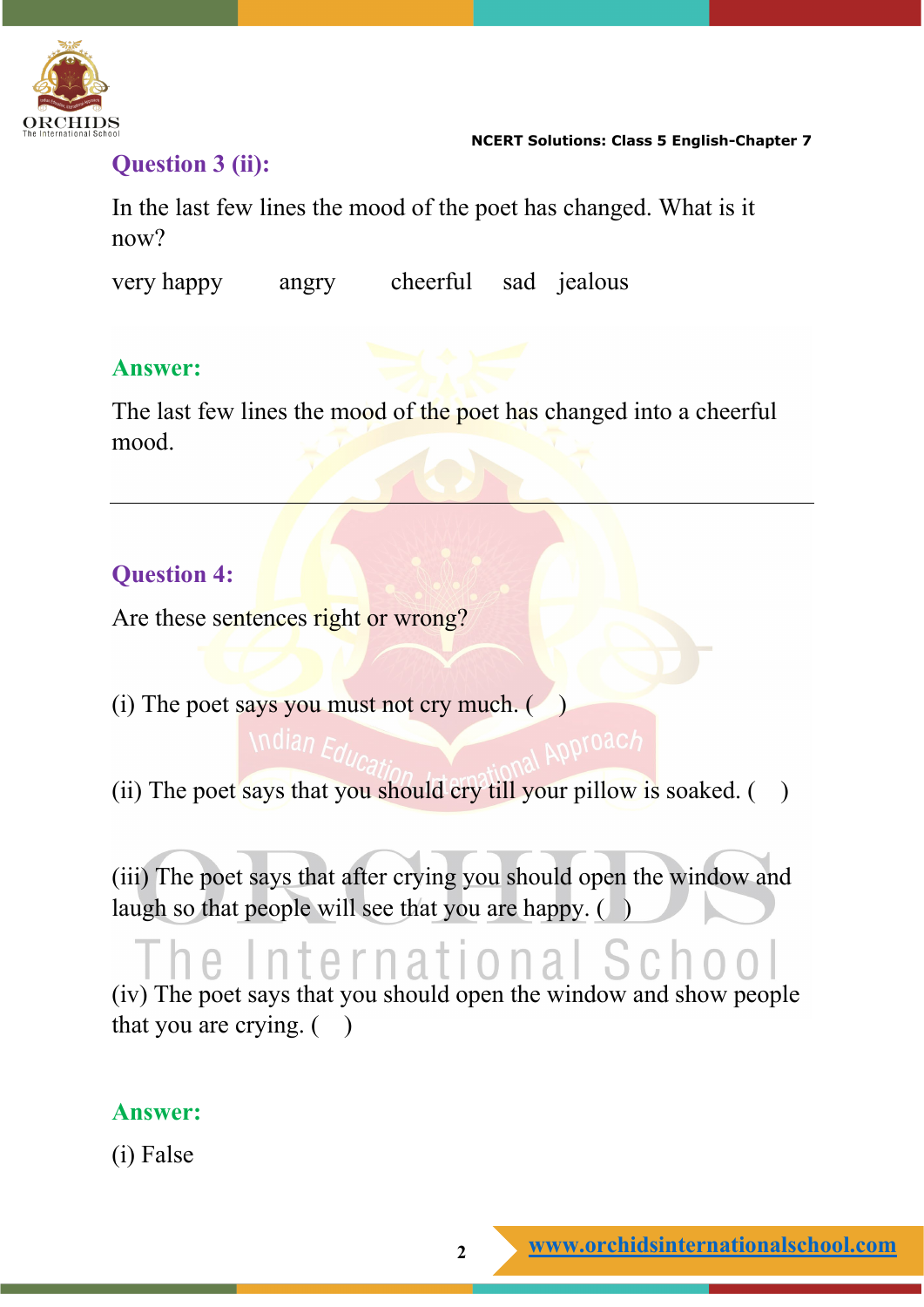

#### **Question 3 (ii):**

In the last few lines the mood of the poet has changed. What is it now?

very happy angry cheerful sad jealous

#### **Answer:**

The last few lines the mood of the poet has changed into a cheerful mood.

### **Question 4:**

Are these sentences right or wrong?

- (i) The poet says you must not cry much. ( )
- (ii) The poet says that you should cry till your pillow is soaked.  $( )$

(iii) The poet says that after crying you should open the window and laugh so that people will see that you are happy.  $($ )

## International Schoo (iv) The poet says that you should open the window and show people that you are crying.  $( )$

#### **Answer:**

(i) False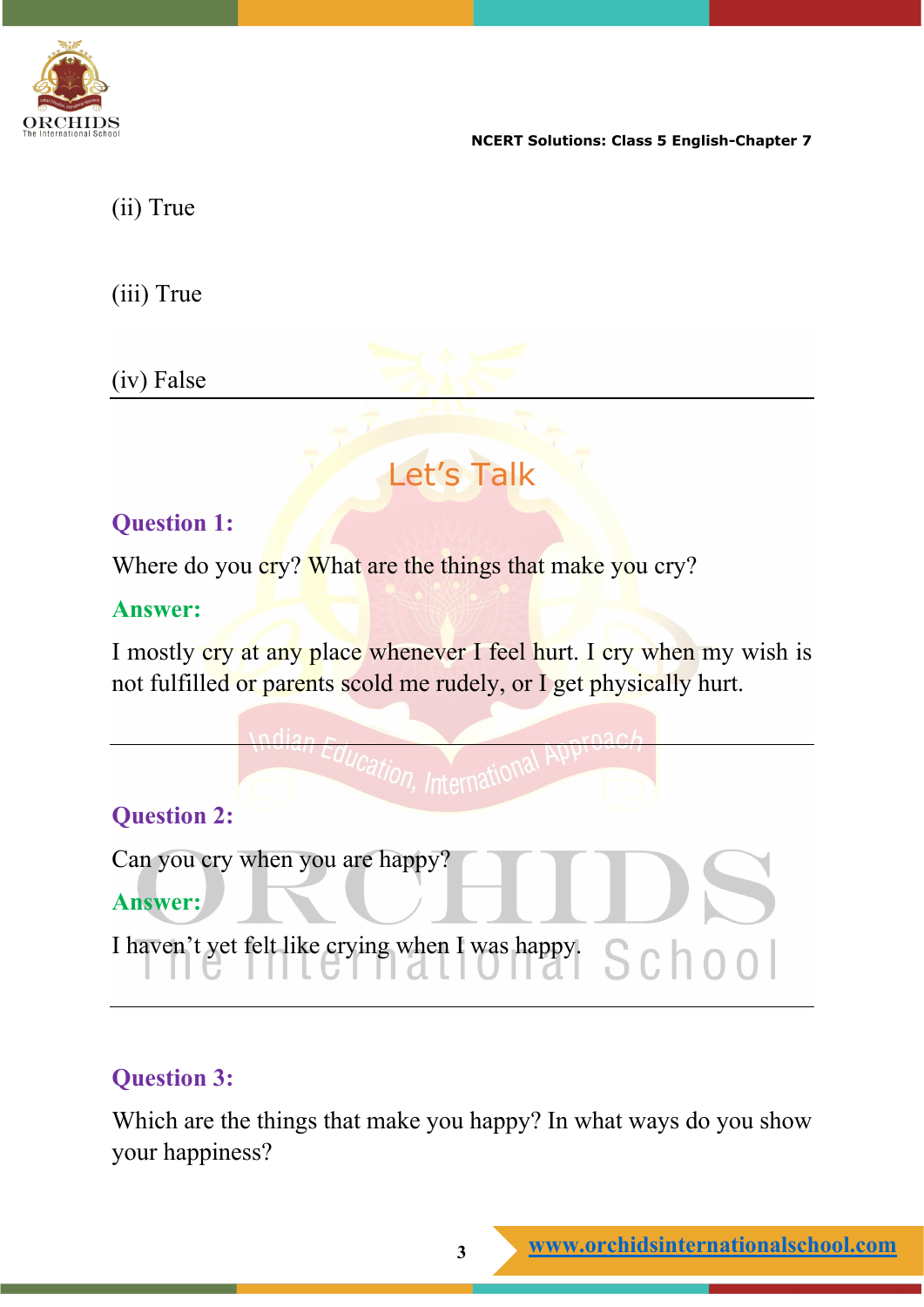

(ii) True

(iii) True

(iv) False

# Let's Talk

### **Question 1:**

Where do you cry? What are the things that make you cry?

#### **Answer:**

I mostly cry at any place whenever I feel hurt. I cry when my wish is not fulfilled or parents scold me rudely, or I get physically hurt.



### **Question 3:**

Which are the things that make you happy? In what ways do you show your happiness?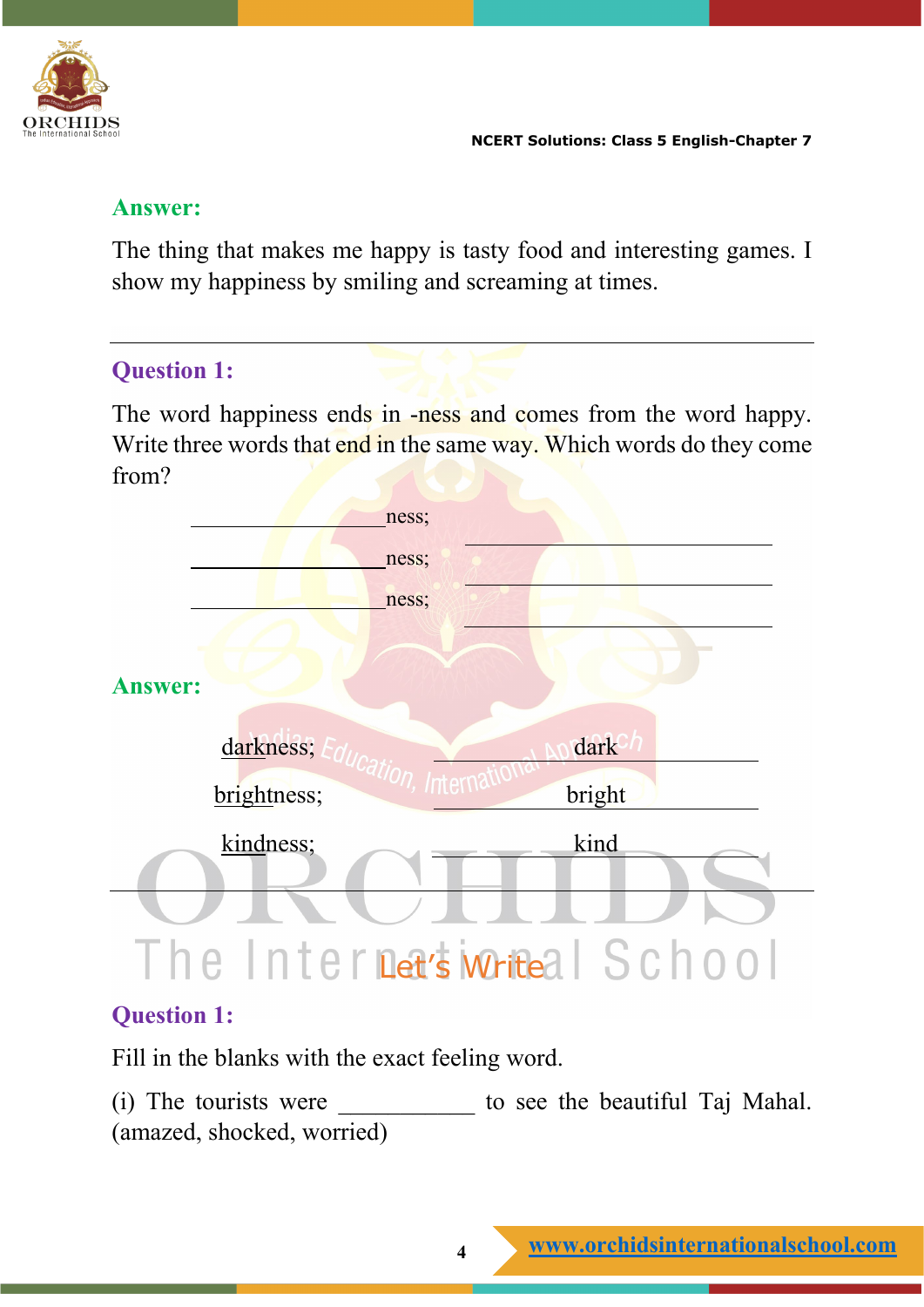

#### **Answer:**

The thing that makes me happy is tasty food and interesting games. I show my happiness by smiling and screaming at times.

#### **Question 1:**

The word happiness ends in -ness and comes from the word happy. Write three words that end in the same way. Which words do they come from?



### **Question 1:**

Fill in the blanks with the exact feeling word.

(i) The tourists were to see the beautiful Taj Mahal. (amazed, shocked, worried)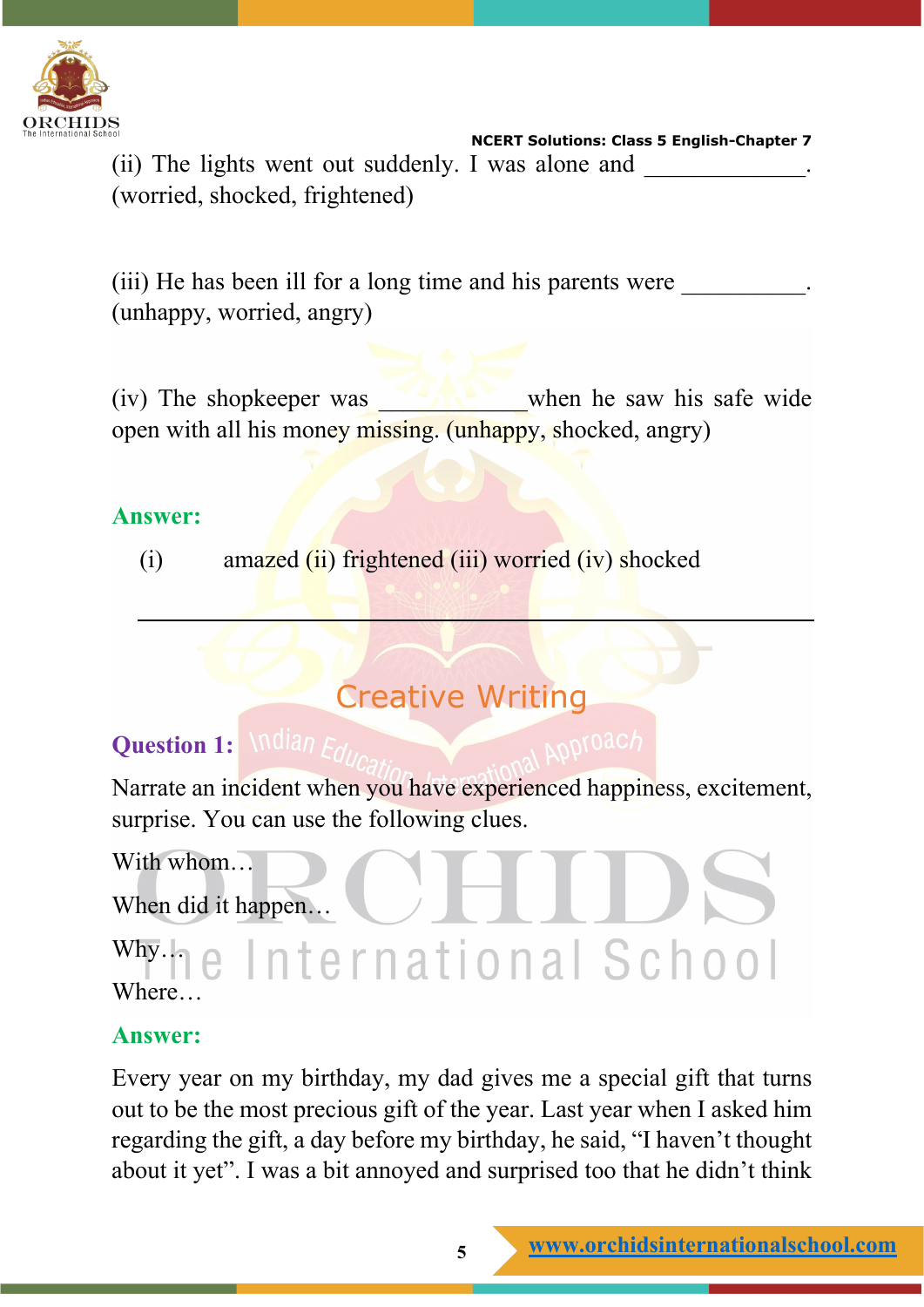

 **NCERT Solutions: Class 5 English-Chapter 7** (ii) The lights went out suddenly. I was alone and (worried, shocked, frightened)

(iii) He has been ill for a long time and his parents were (unhappy, worried, angry)

(iv) The shopkeeper was when he saw his safe wide open with all his money missing. (unhappy, shocked, angry)

#### **Answer:**

(i) amazed  $(ii)$  frightened  $(iii)$  worried  $(iv)$  shocked

## Creative Writing

### **Question 1:** *Mdian*  $F_{cl.}$

Narrate an incident when you have experienced happiness, excitement, surprise. You can use the following clues.

With whom...

When did it happen…

# why.ne International School Where…

### **Answer:**

Every year on my birthday, my dad gives me a special gift that turns out to be the most precious gift of the year. Last year when I asked him regarding the gift, a day before my birthday, he said, "I haven't thought about it yet". I was a bit annoyed and surprised too that he didn't think